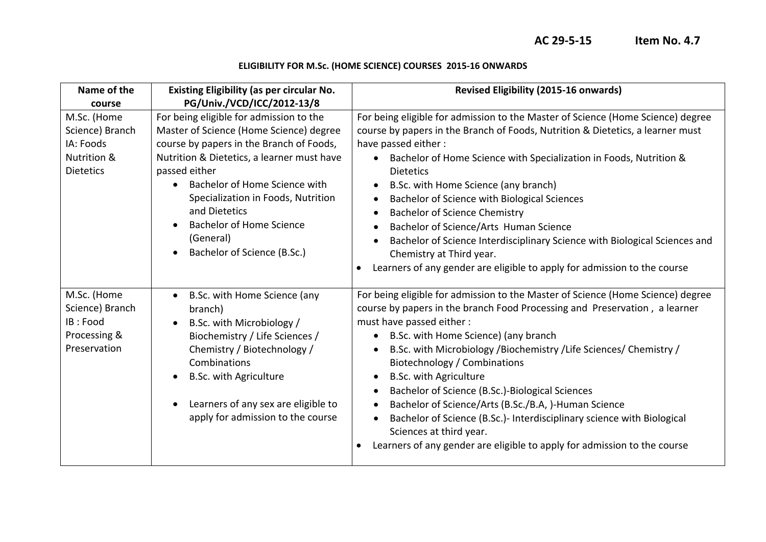## **ELIGIBILITY FOR M.Sc. (HOME SCIENCE) COURSES 2015-16 ONWARDS**

| Name of the                                                                    | <b>Existing Eligibility (as per circular No.</b>                                                                                                                                                                                                                                                                                                                     | <b>Revised Eligibility (2015-16 onwards)</b>                                                                                                                                                                                                                                                                                                                                                                                                                                                                                                                                                                                                                                                                                                                            |
|--------------------------------------------------------------------------------|----------------------------------------------------------------------------------------------------------------------------------------------------------------------------------------------------------------------------------------------------------------------------------------------------------------------------------------------------------------------|-------------------------------------------------------------------------------------------------------------------------------------------------------------------------------------------------------------------------------------------------------------------------------------------------------------------------------------------------------------------------------------------------------------------------------------------------------------------------------------------------------------------------------------------------------------------------------------------------------------------------------------------------------------------------------------------------------------------------------------------------------------------------|
| course                                                                         | PG/Univ./VCD/ICC/2012-13/8                                                                                                                                                                                                                                                                                                                                           |                                                                                                                                                                                                                                                                                                                                                                                                                                                                                                                                                                                                                                                                                                                                                                         |
| M.Sc. (Home<br>Science) Branch<br>IA: Foods<br>Nutrition &<br><b>Dietetics</b> | For being eligible for admission to the<br>Master of Science (Home Science) degree<br>course by papers in the Branch of Foods,<br>Nutrition & Dietetics, a learner must have<br>passed either<br>Bachelor of Home Science with<br>Specialization in Foods, Nutrition<br>and Dietetics<br><b>Bachelor of Home Science</b><br>(General)<br>Bachelor of Science (B.Sc.) | For being eligible for admission to the Master of Science (Home Science) degree<br>course by papers in the Branch of Foods, Nutrition & Dietetics, a learner must<br>have passed either:<br>Bachelor of Home Science with Specialization in Foods, Nutrition &<br>$\bullet$<br><b>Dietetics</b><br>B.Sc. with Home Science (any branch)<br>$\bullet$<br>Bachelor of Science with Biological Sciences<br>$\bullet$<br><b>Bachelor of Science Chemistry</b><br>$\bullet$<br>Bachelor of Science/Arts Human Science<br>$\bullet$<br>Bachelor of Science Interdisciplinary Science with Biological Sciences and<br>Chemistry at Third year.<br>Learners of any gender are eligible to apply for admission to the course<br>$\bullet$                                        |
| M.Sc. (Home<br>Science) Branch<br>IB: Food<br>Processing &<br>Preservation     | B.Sc. with Home Science (any<br>$\bullet$<br>branch)<br>B.Sc. with Microbiology /<br>Biochemistry / Life Sciences /<br>Chemistry / Biotechnology /<br>Combinations<br><b>B.Sc. with Agriculture</b><br>Learners of any sex are eligible to<br>apply for admission to the course                                                                                      | For being eligible for admission to the Master of Science (Home Science) degree<br>course by papers in the branch Food Processing and Preservation, a learner<br>must have passed either :<br>B.Sc. with Home Science) (any branch<br>$\bullet$<br>B.Sc. with Microbiology /Biochemistry / Life Sciences/ Chemistry /<br>$\bullet$<br><b>Biotechnology / Combinations</b><br><b>B.Sc. with Agriculture</b><br>$\bullet$<br>Bachelor of Science (B.Sc.)-Biological Sciences<br>$\bullet$<br>Bachelor of Science/Arts (B.Sc./B.A, )-Human Science<br>$\bullet$<br>Bachelor of Science (B.Sc.)- Interdisciplinary science with Biological<br>$\bullet$<br>Sciences at third year.<br>Learners of any gender are eligible to apply for admission to the course<br>$\bullet$ |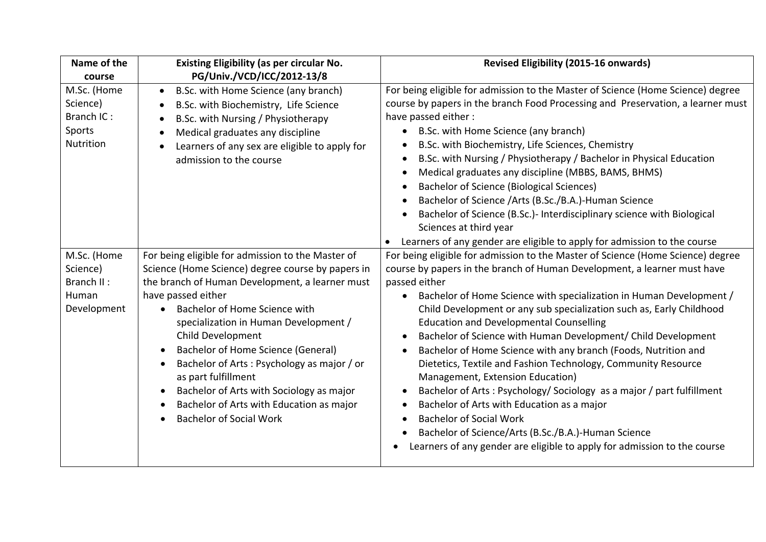| Name of the<br>course                                         | <b>Existing Eligibility (as per circular No.</b><br>PG/Univ./VCD/ICC/2012-13/8                                                                                                                                                                                                                                                                                                                                                                                                                                      | <b>Revised Eligibility (2015-16 onwards)</b>                                                                                                                                                                                                                                                                                                                                                                                                                                                                                                                                                                                                                                                                                                                                                                                                                                                                      |
|---------------------------------------------------------------|---------------------------------------------------------------------------------------------------------------------------------------------------------------------------------------------------------------------------------------------------------------------------------------------------------------------------------------------------------------------------------------------------------------------------------------------------------------------------------------------------------------------|-------------------------------------------------------------------------------------------------------------------------------------------------------------------------------------------------------------------------------------------------------------------------------------------------------------------------------------------------------------------------------------------------------------------------------------------------------------------------------------------------------------------------------------------------------------------------------------------------------------------------------------------------------------------------------------------------------------------------------------------------------------------------------------------------------------------------------------------------------------------------------------------------------------------|
| M.Sc. (Home<br>Science)<br>Branch IC:<br>Sports<br>Nutrition  | B.Sc. with Home Science (any branch)<br>B.Sc. with Biochemistry, Life Science<br>B.Sc. with Nursing / Physiotherapy<br>Medical graduates any discipline<br>Learners of any sex are eligible to apply for<br>admission to the course                                                                                                                                                                                                                                                                                 | For being eligible for admission to the Master of Science (Home Science) degree<br>course by papers in the branch Food Processing and Preservation, a learner must<br>have passed either:<br>B.Sc. with Home Science (any branch)<br>B.Sc. with Biochemistry, Life Sciences, Chemistry<br>B.Sc. with Nursing / Physiotherapy / Bachelor in Physical Education<br>Medical graduates any discipline (MBBS, BAMS, BHMS)<br><b>Bachelor of Science (Biological Sciences)</b><br>Bachelor of Science /Arts (B.Sc./B.A.)-Human Science<br>Bachelor of Science (B.Sc.)- Interdisciplinary science with Biological<br>Sciences at third year<br>Learners of any gender are eligible to apply for admission to the course                                                                                                                                                                                                  |
| M.Sc. (Home<br>Science)<br>Branch II:<br>Human<br>Development | For being eligible for admission to the Master of<br>Science (Home Science) degree course by papers in<br>the branch of Human Development, a learner must<br>have passed either<br>Bachelor of Home Science with<br>specialization in Human Development /<br>Child Development<br>Bachelor of Home Science (General)<br>Bachelor of Arts: Psychology as major / or<br>as part fulfillment<br>Bachelor of Arts with Sociology as major<br>Bachelor of Arts with Education as major<br><b>Bachelor of Social Work</b> | For being eligible for admission to the Master of Science (Home Science) degree<br>course by papers in the branch of Human Development, a learner must have<br>passed either<br>Bachelor of Home Science with specialization in Human Development /<br>Child Development or any sub specialization such as, Early Childhood<br><b>Education and Developmental Counselling</b><br>Bachelor of Science with Human Development/ Child Development<br>Bachelor of Home Science with any branch (Foods, Nutrition and<br>Dietetics, Textile and Fashion Technology, Community Resource<br>Management, Extension Education)<br>Bachelor of Arts: Psychology/ Sociology as a major / part fulfillment<br>Bachelor of Arts with Education as a major<br><b>Bachelor of Social Work</b><br>Bachelor of Science/Arts (B.Sc./B.A.)-Human Science<br>Learners of any gender are eligible to apply for admission to the course |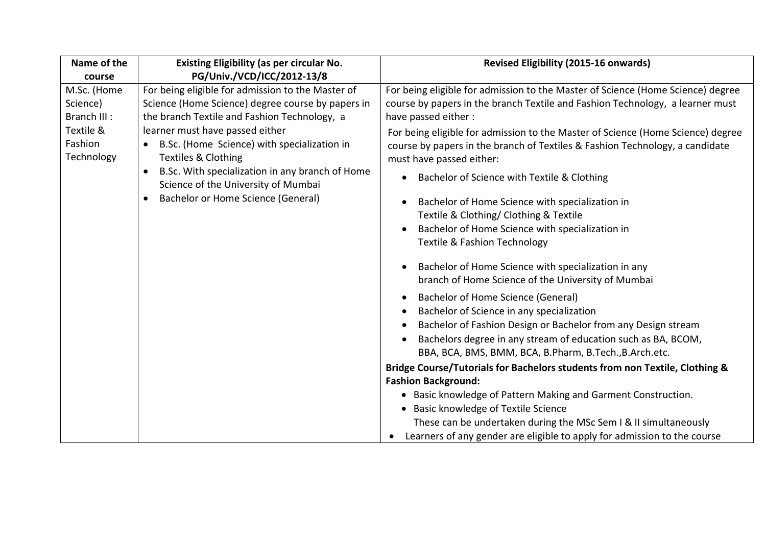| Name of the<br>course                                                         | <b>Existing Eligibility (as per circular No.</b><br>PG/Univ./VCD/ICC/2012-13/8                                                                                                                                                                                                                                                                                                                                               | <b>Revised Eligibility (2015-16 onwards)</b>                                                                                                                                                                                                                                                                                                                                                                                                                                                                                                                                                                                                                                                                                                                                                                                                                                                                                                                                                                                                                                                                                                                                                                                                                                                                                                                                                                    |
|-------------------------------------------------------------------------------|------------------------------------------------------------------------------------------------------------------------------------------------------------------------------------------------------------------------------------------------------------------------------------------------------------------------------------------------------------------------------------------------------------------------------|-----------------------------------------------------------------------------------------------------------------------------------------------------------------------------------------------------------------------------------------------------------------------------------------------------------------------------------------------------------------------------------------------------------------------------------------------------------------------------------------------------------------------------------------------------------------------------------------------------------------------------------------------------------------------------------------------------------------------------------------------------------------------------------------------------------------------------------------------------------------------------------------------------------------------------------------------------------------------------------------------------------------------------------------------------------------------------------------------------------------------------------------------------------------------------------------------------------------------------------------------------------------------------------------------------------------------------------------------------------------------------------------------------------------|
| M.Sc. (Home<br>Science)<br>Branch III :<br>Textile &<br>Fashion<br>Technology | For being eligible for admission to the Master of<br>Science (Home Science) degree course by papers in<br>the branch Textile and Fashion Technology, a<br>learner must have passed either<br>B.Sc. (Home Science) with specialization in<br><b>Textiles &amp; Clothing</b><br>B.Sc. With specialization in any branch of Home<br>$\bullet$<br>Science of the University of Mumbai<br>Bachelor or Home Science (General)<br>٠ | For being eligible for admission to the Master of Science (Home Science) degree<br>course by papers in the branch Textile and Fashion Technology, a learner must<br>have passed either:<br>For being eligible for admission to the Master of Science (Home Science) degree<br>course by papers in the branch of Textiles & Fashion Technology, a candidate<br>must have passed either:<br>Bachelor of Science with Textile & Clothing<br>$\bullet$<br>Bachelor of Home Science with specialization in<br>Textile & Clothing/ Clothing & Textile<br>Bachelor of Home Science with specialization in<br><b>Textile &amp; Fashion Technology</b><br>Bachelor of Home Science with specialization in any<br>branch of Home Science of the University of Mumbai<br>Bachelor of Home Science (General)<br>Bachelor of Science in any specialization<br>Bachelor of Fashion Design or Bachelor from any Design stream<br>Bachelors degree in any stream of education such as BA, BCOM,<br>BBA, BCA, BMS, BMM, BCA, B.Pharm, B.Tech., B.Arch.etc.<br>Bridge Course/Tutorials for Bachelors students from non Textile, Clothing &<br><b>Fashion Background:</b><br>• Basic knowledge of Pattern Making and Garment Construction.<br>• Basic knowledge of Textile Science<br>These can be undertaken during the MSc Sem I & II simultaneously<br>Learners of any gender are eligible to apply for admission to the course |